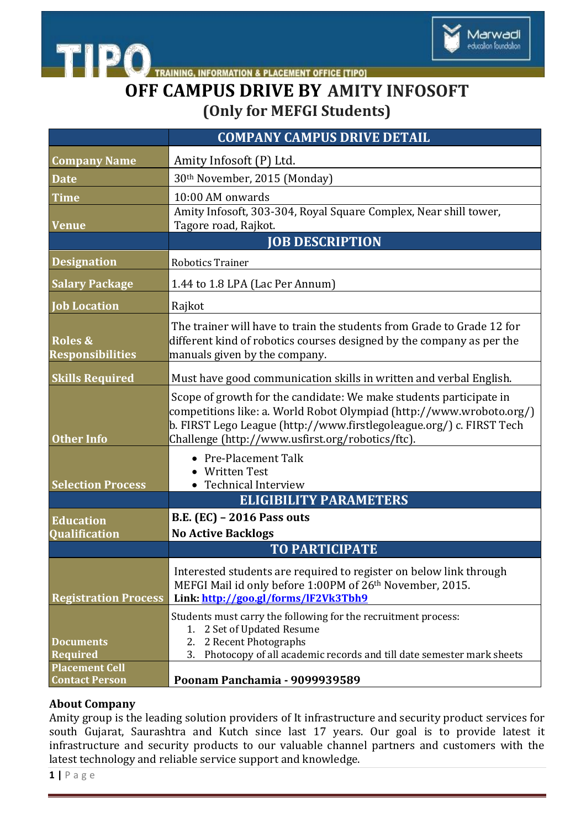

TRAINING, INFORMATION & PLACEMENT OFFICE [TIPO]

## **OFF CAMPUS DRIVE BY AMITY INFOSOFT (Only for MEFGI Students)**

|                                                              | <b>COMPANY CAMPUS DRIVE DETAIL</b>                                                                                                                                                                                                                                     |
|--------------------------------------------------------------|------------------------------------------------------------------------------------------------------------------------------------------------------------------------------------------------------------------------------------------------------------------------|
| <b>Company Name</b>                                          | Amity Infosoft (P) Ltd.                                                                                                                                                                                                                                                |
| <b>Date</b>                                                  | 30th November, 2015 (Monday)                                                                                                                                                                                                                                           |
| <b>Time</b>                                                  | 10:00 AM onwards                                                                                                                                                                                                                                                       |
|                                                              | Amity Infosoft, 303-304, Royal Square Complex, Near shill tower,                                                                                                                                                                                                       |
| <b>Venue</b>                                                 | Tagore road, Rajkot.<br><b>JOB DESCRIPTION</b>                                                                                                                                                                                                                         |
| <b>Designation</b>                                           | <b>Robotics Trainer</b>                                                                                                                                                                                                                                                |
| <b>Salary Package</b>                                        | 1.44 to 1.8 LPA (Lac Per Annum)                                                                                                                                                                                                                                        |
| <b>Job Location</b>                                          | Rajkot                                                                                                                                                                                                                                                                 |
| <b>Roles &amp;</b><br><b>Responsibilities</b>                | The trainer will have to train the students from Grade to Grade 12 for<br>different kind of robotics courses designed by the company as per the<br>manuals given by the company.                                                                                       |
| <b>Skills Required</b>                                       | Must have good communication skills in written and verbal English.                                                                                                                                                                                                     |
| <b>Other Info</b>                                            | Scope of growth for the candidate: We make students participate in<br>competitions like: a. World Robot Olympiad (http://www.wroboto.org/)<br>b. FIRST Lego League (http://www.firstlegoleague.org/) c. FIRST Tech<br>Challenge (http://www.usfirst.org/robotics/ftc). |
| <b>Selection Process</b>                                     | • Pre-Placement Talk<br>• Written Test<br>• Technical Interview                                                                                                                                                                                                        |
|                                                              | <b>ELIGIBILITY PARAMETERS</b><br><b>B.E. (EC) - 2016 Pass outs</b>                                                                                                                                                                                                     |
| <b>Education</b><br>Qualification                            | <b>No Active Backlogs</b>                                                                                                                                                                                                                                              |
|                                                              | <b>TO PARTICIPATE</b>                                                                                                                                                                                                                                                  |
| <b>Registration Process</b>                                  | Interested students are required to register on below link through<br>MEFGI Mail id only before 1:00PM of 26th November, 2015.<br>Link: http://goo.gl/forms/lF2Vk3Tbh9                                                                                                 |
| <b>Documents</b><br><b>Required</b><br><b>Placement Cell</b> | Students must carry the following for the recruitment process:<br>1. 2 Set of Updated Resume<br>2 Recent Photographs<br>2.<br>Photocopy of all academic records and till date semester mark sheets<br>3.                                                               |
| <b>Contact Person</b>                                        | Poonam Panchamia - 9099939589                                                                                                                                                                                                                                          |

## **About Company**

**TIPO** 

Amity group is the leading solution providers of It infrastructure and security product services for south Gujarat, Saurashtra and Kutch since last 17 years. Our goal is to provide latest it infrastructure and security products to our valuable channel partners and customers with the latest technology and reliable service support and knowledge.